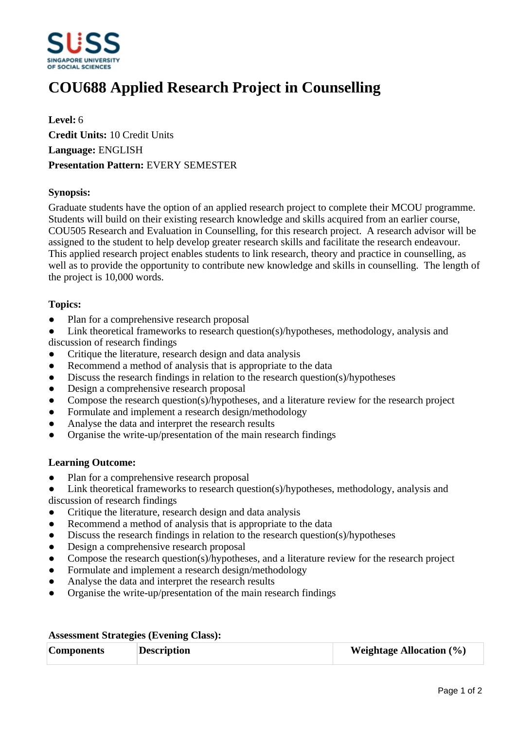

## **COU688 Applied Research Project in Counselling**

**Level:** 6 **Credit Units:** 10 Credit Units **Language:** ENGLISH **Presentation Pattern:** EVERY SEMESTER

## **Synopsis:**

Graduate students have the option of an applied research project to complete their MCOU programme. Students will build on their existing research knowledge and skills acquired from an earlier course, COU505 Research and Evaluation in Counselling, for this research project. A research advisor will be assigned to the student to help develop greater research skills and facilitate the research endeavour. This applied research project enables students to link research, theory and practice in counselling, as well as to provide the opportunity to contribute new knowledge and skills in counselling. The length of the project is 10,000 words.

## **Topics:**

• Plan for a comprehensive research proposal

Link theoretical frameworks to research question(s)/hypotheses, methodology, analysis and discussion of research findings

- Critique the literature, research design and data analysis
- Recommend a method of analysis that is appropriate to the data
- $\bullet$  Discuss the research findings in relation to the research question(s)/hypotheses
- Design a comprehensive research proposal
- Compose the research question(s)/hypotheses, and a literature review for the research project
- Formulate and implement a research design/methodology
- Analyse the data and interpret the research results
- ƔOrganise the write-up/presentation of the main research findings

## **Learning Outcome:**

- Plan for a comprehensive research proposal
- Link theoretical frameworks to research question(s)/hypotheses, methodology, analysis and discussion of research findings
- Critique the literature, research design and data analysis
- Recommend a method of analysis that is appropriate to the data
- Discuss the research findings in relation to the research question(s)/hypotheses
- Design a comprehensive research proposal
- Compose the research question(s)/hypotheses, and a literature review for the research project
- Formulate and implement a research design/methodology
- Analyse the data and interpret the research results
- ƔOrganise the write-up/presentation of the main research findings

| <b>Assessment Strategies (Evening Class):</b> |  |  |
|-----------------------------------------------|--|--|
|-----------------------------------------------|--|--|

| <b>Components</b> | <b>Description</b> | <b>Weightage Allocation</b> $(\%)$ |
|-------------------|--------------------|------------------------------------|
|                   |                    |                                    |